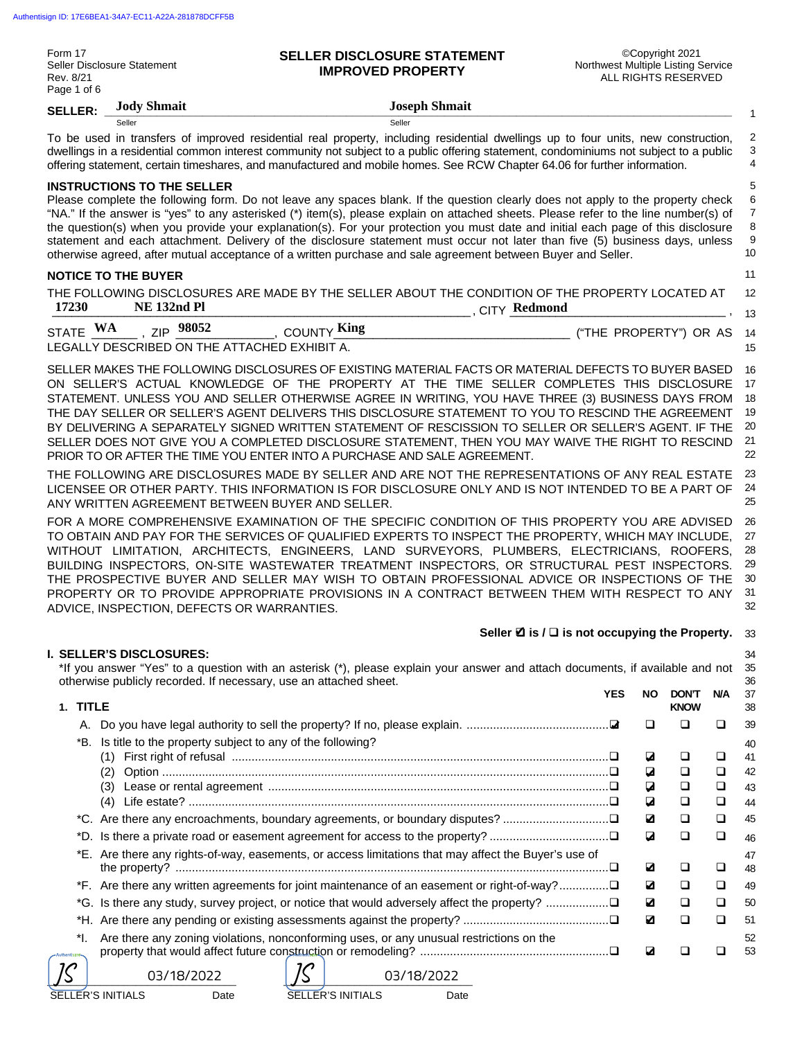Page 1 of 6

#### Form 17 ©Copyright 2021 **SELLER DISCLOSURE STATEMENT** Seller Disclosure Statement<br> **IMPROVED PROPERTY** Northwest Multiple Listing Service<br>
ALL RIGHTS RESERVED **IMPROVED PROPERTY**

11

15

34

| <b>SELLER:</b> | <b>Jody Shmait</b> | <b>Joseph Shmait</b> |
|----------------|--------------------|----------------------|
|                | Seller<br>.        | Seller<br>.          |
|                |                    |                      |

To be used in transfers of improved residential real property, including residential dwellings up to four units, new construction, dwellings in a residential common interest community not subject to a public offering statement, condominiums not subject to a public offering statement, certain timeshares, and manufactured and mobile homes. See RCW Chapter 64.06 for further information.

### **INSTRUCTIONS TO THE SELLER**

Please complete the following form. Do not leave any spaces blank. If the question clearly does not apply to the property check "NA." If the answer is "yes" to any asterisked (\*) item(s), please explain on attached sheets. Please refer to the line number(s) of the question(s) when you provide your explanation(s). For your protection you must date and initial each page of this disclosure statement and each attachment. Delivery of the disclosure statement must occur not later than five (5) business days, unless otherwise agreed, after mutual acceptance of a written purchase and sale agreement between Buyer and Seller. 6 7 8 9 10

## **NOTICE TO THE BUYER**

|          |                      | THE FOLLOWING DISCLOSURES ARE MADE BY THE SELLER ABOUT THE CONDITION OF THE PROPERTY LOCATED AT |                |                           |  |
|----------|----------------------|-------------------------------------------------------------------------------------------------|----------------|---------------------------|--|
| 17230    | NE 132nd Pl          |                                                                                                 | $CITY$ Redmond |                           |  |
| STATE WA | <sub>7IP</sub> 98052 | COUNTY King                                                                                     |                | ("THE PROPERTY") OR AS 14 |  |

LEGALLY DESCRIBED ON THE ATTACHED EXHIBIT A.

SELLER MAKES THE FOLLOWING DISCLOSURES OF EXISTING MATERIAL FACTS OR MATERIAL DEFECTS TO BUYER BASED ON SELLER'S ACTUAL KNOWLEDGE OF THE PROPERTY AT THE TIME SELLER COMPLETES THIS DISCLOSURE STATEMENT. UNLESS YOU AND SELLER OTHERWISE AGREE IN WRITING, YOU HAVE THREE (3) BUSINESS DAYS FROM THE DAY SELLER OR SELLER'S AGENT DELIVERS THIS DISCLOSURE STATEMENT TO YOU TO RESCIND THE AGREEMENT BY DELIVERING A SEPARATELY SIGNED WRITTEN STATEMENT OF RESCISSION TO SELLER OR SELLER'S AGENT. IF THE SELLER DOES NOT GIVE YOU A COMPLETED DISCLOSURE STATEMENT, THEN YOU MAY WAIVE THE RIGHT TO RESCIND PRIOR TO OR AFTER THE TIME YOU ENTER INTO A PURCHASE AND SALE AGREEMENT. 16 17 18 19 20 21 22

THE FOLLOWING ARE DISCLOSURES MADE BY SELLER AND ARE NOT THE REPRESENTATIONS OF ANY REAL ESTATE LICENSEE OR OTHER PARTY. THIS INFORMATION IS FOR DISCLOSURE ONLY AND IS NOT INTENDED TO BE A PART OF ANY WRITTEN AGREEMENT BETWEEN BUYER AND SELLER. 23 24 25

FOR A MORE COMPREHENSIVE EXAMINATION OF THE SPECIFIC CONDITION OF THIS PROPERTY YOU ARE ADVISED TO OBTAIN AND PAY FOR THE SERVICES OF QUALIFIED EXPERTS TO INSPECT THE PROPERTY, WHICH MAY INCLUDE, WITHOUT LIMITATION, ARCHITECTS, ENGINEERS, LAND SURVEYORS, PLUMBERS, ELECTRICIANS, ROOFERS, BUILDING INSPECTORS, ON-SITE WASTEWATER TREATMENT INSPECTORS, OR STRUCTURAL PEST INSPECTORS. THE PROSPECTIVE BUYER AND SELLER MAY WISH TO OBTAIN PROFESSIONAL ADVICE OR INSPECTIONS OF THE PROPERTY OR TO PROVIDE APPROPRIATE PROVISIONS IN A CONTRACT BETWEEN THEM WITH RESPECT TO ANY ADVICE, INSPECTION, DEFECTS OR WARRANTIES. 26 27 28 29 30 31 32

#### Seller  $\vec{a}$  is /  $\Box$  is not occupying the Property. 33

# **I. SELLER'S DISCLOSURES:**

 \*If you answer "Yes" to a question with an asterisk (\*), please explain your answer and attach documents, if available and not otherwise publicly recorded. If necessary, use an attached sheet. 35 36 37

| 1. TITLE |                                                                                                      | <b>YES</b> | NO                      | DON'T<br><b>KNOW</b> | N/A | 37<br>38 |
|----------|------------------------------------------------------------------------------------------------------|------------|-------------------------|----------------------|-----|----------|
| А.       |                                                                                                      |            |                         |                      |     | 39       |
| *B.      | Is title to the property subject to any of the following?                                            |            |                         |                      |     | 40       |
|          | (1)                                                                                                  |            | М                       |                      |     | 41       |
|          | (2)                                                                                                  |            |                         |                      |     | 42       |
|          | (3)                                                                                                  |            |                         |                      |     | 43       |
|          | (4)                                                                                                  |            |                         | ⊔                    |     | 44       |
|          | *C. Are there any encroachments, boundary agreements, or boundary disputes?                          |            | Ø                       | ⊔                    | □   | 45       |
| *D.      |                                                                                                      |            | Q                       | l 1                  | П   | 46       |
|          | *E. Are there any rights-of-way, easements, or access limitations that may affect the Buyer's use of |            |                         |                      |     | 47       |
|          |                                                                                                      |            | 0                       |                      |     | 48       |
|          | *F. Are there any written agreements for joint maintenance of an easement or right-of-way?□          |            | $\overline{\mathbf{z}}$ | l 1                  | □   | 49       |
| *G.      | Is there any study, survey project, or notice that would adversely affect the property?              |            | $\overline{\mathbf{z}}$ | ◻                    | □   | 50       |
| *H.      |                                                                                                      |            | $\overline{\mathbf{z}}$ | l 1                  | ⊓   | 51       |
|          | Are there any zoning violations, nonconforming uses, or any unusual restrictions on the              |            |                         |                      |     | 52       |
|          |                                                                                                      |            |                         |                      |     | 53       |
|          | 0.214012022<br>$\sim$ $\sim$ $\sim$ $\sim$ $\sim$ $\sim$ $\sim$ $\sim$                               |            |                         |                      |     |          |



 $\sqrt{3}$   $\sqrt{3}$   $\sqrt{3}$   $\sqrt{3}$   $\sqrt{3}$   $\sqrt{3}$   $\sqrt{3}$   $\sqrt{3}$   $\sqrt{3}$   $\sqrt{3}$   $\sqrt{3}$   $\sqrt{3}$   $\sqrt{3}$   $\sqrt{3}$   $\sqrt{3}$   $\sqrt{3}$   $\sqrt{3}$   $\sqrt{3}$   $\sqrt{3}$   $\sqrt{3}$   $\sqrt{3}$   $\sqrt{3}$   $\sqrt{3}$   $\sqrt{3}$   $\sqrt{3}$   $\sqrt{3}$   $\sqrt{3}$   $\sqrt{3$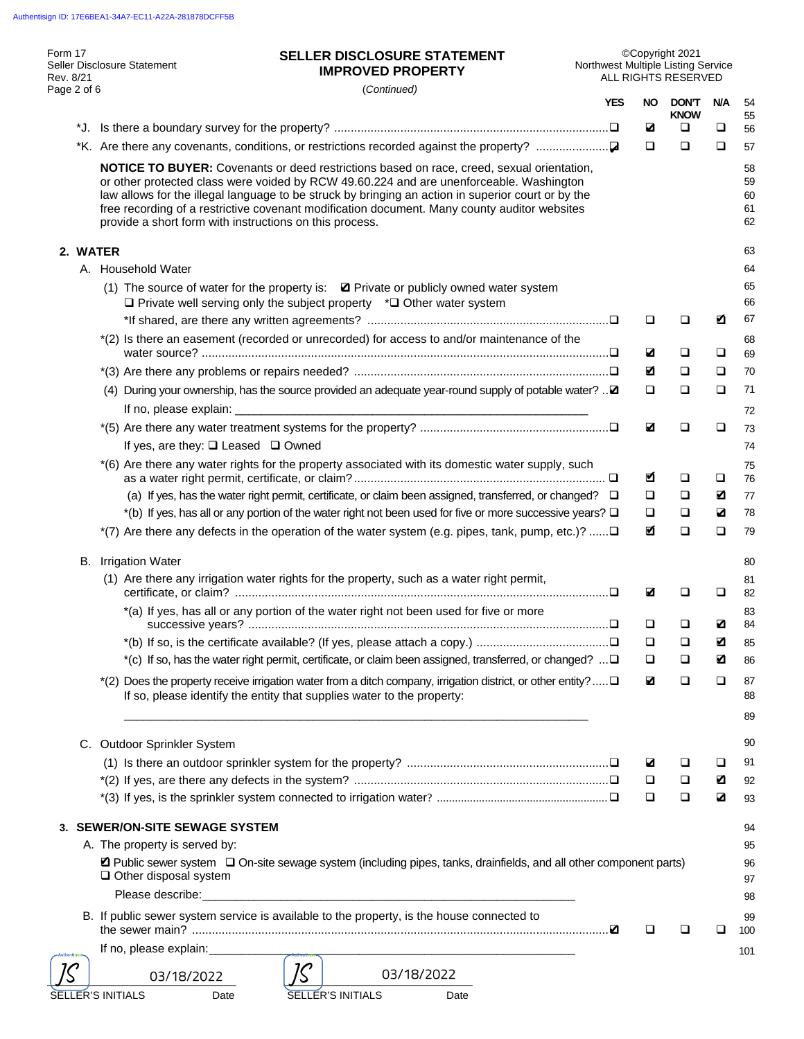| Form 17<br>Rev. 8/21 | SELLER DISCLOSURE STATEMENT<br>Seller Disclosure Statement<br><b>IMPROVED PROPERTY</b>                                                                                                                                                                                                                                                                                                                                                                | Northwest Multiple Listing Service |        | ©Copyright 2021<br>ALL RIGHTS RESERVED |            |                            |
|----------------------|-------------------------------------------------------------------------------------------------------------------------------------------------------------------------------------------------------------------------------------------------------------------------------------------------------------------------------------------------------------------------------------------------------------------------------------------------------|------------------------------------|--------|----------------------------------------|------------|----------------------------|
| Page 2 of 6          | (Continued)                                                                                                                                                                                                                                                                                                                                                                                                                                           | <b>YES</b>                         | NO.    | <b>DON'T</b>                           | <b>N/A</b> | 54                         |
|                      |                                                                                                                                                                                                                                                                                                                                                                                                                                                       |                                    |        | <b>KNOW</b>                            |            | 55                         |
|                      |                                                                                                                                                                                                                                                                                                                                                                                                                                                       |                                    | Ø      | $\Box$                                 | $\Box$     | 56                         |
|                      | *K. Are there any covenants, conditions, or restrictions recorded against the property?                                                                                                                                                                                                                                                                                                                                                               |                                    | $\Box$ | $\Box$                                 | $\Box$     | 57                         |
|                      | NOTICE TO BUYER: Covenants or deed restrictions based on race, creed, sexual orientation,<br>or other protected class were voided by RCW 49.60.224 and are unenforceable. Washington<br>law allows for the illegal language to be struck by bringing an action in superior court or by the<br>free recording of a restrictive covenant modification document. Many county auditor websites<br>provide a short form with instructions on this process. |                                    |        |                                        |            | 58<br>59<br>60<br>61<br>62 |
| 2. WATER             |                                                                                                                                                                                                                                                                                                                                                                                                                                                       |                                    |        |                                        |            | 63                         |
|                      | A. Household Water                                                                                                                                                                                                                                                                                                                                                                                                                                    |                                    |        |                                        |            | 64                         |
|                      | (1) The source of water for the property is: $\blacksquare$ Private or publicly owned water system<br>$\Box$ Private well serving only the subject property $\Box$ Other water system                                                                                                                                                                                                                                                                 |                                    |        |                                        |            | 65<br>66                   |
|                      |                                                                                                                                                                                                                                                                                                                                                                                                                                                       |                                    | $\Box$ | ❏                                      | ₫          | 67                         |
|                      | *(2) Is there an easement (recorded or unrecorded) for access to and/or maintenance of the                                                                                                                                                                                                                                                                                                                                                            |                                    | Ø      | ❏                                      | ❏          | 68<br>69                   |
|                      |                                                                                                                                                                                                                                                                                                                                                                                                                                                       |                                    | Ø      | □                                      | $\Box$     | 70                         |
|                      | (4) During your ownership, has the source provided an adequate year-round supply of potable water?                                                                                                                                                                                                                                                                                                                                                    |                                    | □      | ❏                                      | $\Box$     | 71                         |
|                      |                                                                                                                                                                                                                                                                                                                                                                                                                                                       |                                    |        |                                        |            | 72                         |
|                      |                                                                                                                                                                                                                                                                                                                                                                                                                                                       |                                    | ☑      | $\Box$                                 | $\Box$     | 73                         |
|                      | If yes, are they: $\square$ Leased $\square$ Owned                                                                                                                                                                                                                                                                                                                                                                                                    |                                    |        |                                        |            | 74                         |
|                      | *(6) Are there any water rights for the property associated with its domestic water supply, such                                                                                                                                                                                                                                                                                                                                                      |                                    | Ø      | ❏                                      | $\Box$     | 75<br>76                   |
|                      | (a) If yes, has the water right permit, certificate, or claim been assigned, transferred, or changed? □                                                                                                                                                                                                                                                                                                                                               |                                    | ❏      | ❏                                      | ₫          | 77                         |
|                      | *(b) If yes, has all or any portion of the water right not been used for five or more successive years? $\square$                                                                                                                                                                                                                                                                                                                                     |                                    | □      | ❏                                      | Ø          | 78                         |
|                      | *(7) Are there any defects in the operation of the water system (e.g. pipes, tank, pump, etc.)? $\square$                                                                                                                                                                                                                                                                                                                                             |                                    | Ø      | $\Box$                                 | $\Box$     | 79                         |
| В.                   | <b>Irrigation Water</b>                                                                                                                                                                                                                                                                                                                                                                                                                               |                                    |        |                                        |            | 80                         |
|                      | (1) Are there any irrigation water rights for the property, such as a water right permit,                                                                                                                                                                                                                                                                                                                                                             |                                    | Ø      | ❏                                      | ❏          | 81<br>82                   |
|                      | *(a) If yes, has all or any portion of the water right not been used for five or more                                                                                                                                                                                                                                                                                                                                                                 |                                    | ❏      | ❏                                      | ₫          | 83<br>84                   |
|                      |                                                                                                                                                                                                                                                                                                                                                                                                                                                       |                                    | ❏      | ⊔                                      | Ø          | 85                         |
|                      | *(c) If so, has the water right permit, certificate, or claim been assigned, transferred, or changed?                                                                                                                                                                                                                                                                                                                                                 |                                    | ❏      | ⊔                                      | Ø          | 86                         |
|                      | *(2) Does the property receive irrigation water from a ditch company, irrigation district, or other entity?                                                                                                                                                                                                                                                                                                                                           |                                    | ☑      | ❏                                      | ❏          | 87                         |
|                      | If so, please identify the entity that supplies water to the property:                                                                                                                                                                                                                                                                                                                                                                                |                                    |        |                                        |            | 88<br>89                   |
|                      |                                                                                                                                                                                                                                                                                                                                                                                                                                                       |                                    |        |                                        |            | 90                         |
|                      | C. Outdoor Sprinkler System                                                                                                                                                                                                                                                                                                                                                                                                                           |                                    |        |                                        |            |                            |
|                      |                                                                                                                                                                                                                                                                                                                                                                                                                                                       |                                    | M<br>□ | u<br>□                                 | ❏<br>☑     | 91<br>92                   |
|                      |                                                                                                                                                                                                                                                                                                                                                                                                                                                       |                                    | □      | ❏                                      | Ø          | 93                         |
|                      |                                                                                                                                                                                                                                                                                                                                                                                                                                                       |                                    |        |                                        |            |                            |
|                      | 3. SEWER/ON-SITE SEWAGE SYSTEM                                                                                                                                                                                                                                                                                                                                                                                                                        |                                    |        |                                        |            | 94                         |
|                      | A. The property is served by:                                                                                                                                                                                                                                                                                                                                                                                                                         |                                    |        |                                        |            | 95                         |
|                      | ■ Public sewer system □ On-site sewage system (including pipes, tanks, drainfields, and all other component parts)<br>Other disposal system                                                                                                                                                                                                                                                                                                           |                                    |        |                                        |            | 96<br>97                   |
|                      | Please describe:<br>and the control of the control of the control of the control of the control of the control of the control of the                                                                                                                                                                                                                                                                                                                  |                                    |        |                                        |            | 98                         |
|                      | B. If public sewer system service is available to the property, is the house connected to                                                                                                                                                                                                                                                                                                                                                             |                                    | □      | ❏                                      | □          | 99<br>100                  |
|                      | the control of the control of the control of the control of the control of the control of                                                                                                                                                                                                                                                                                                                                                             |                                    |        |                                        |            | 101                        |
|                      | 03/18/2022<br>03/18/2022                                                                                                                                                                                                                                                                                                                                                                                                                              |                                    |        |                                        |            |                            |

SELLER'S INITIALS Date SELLER'S INITIALS Date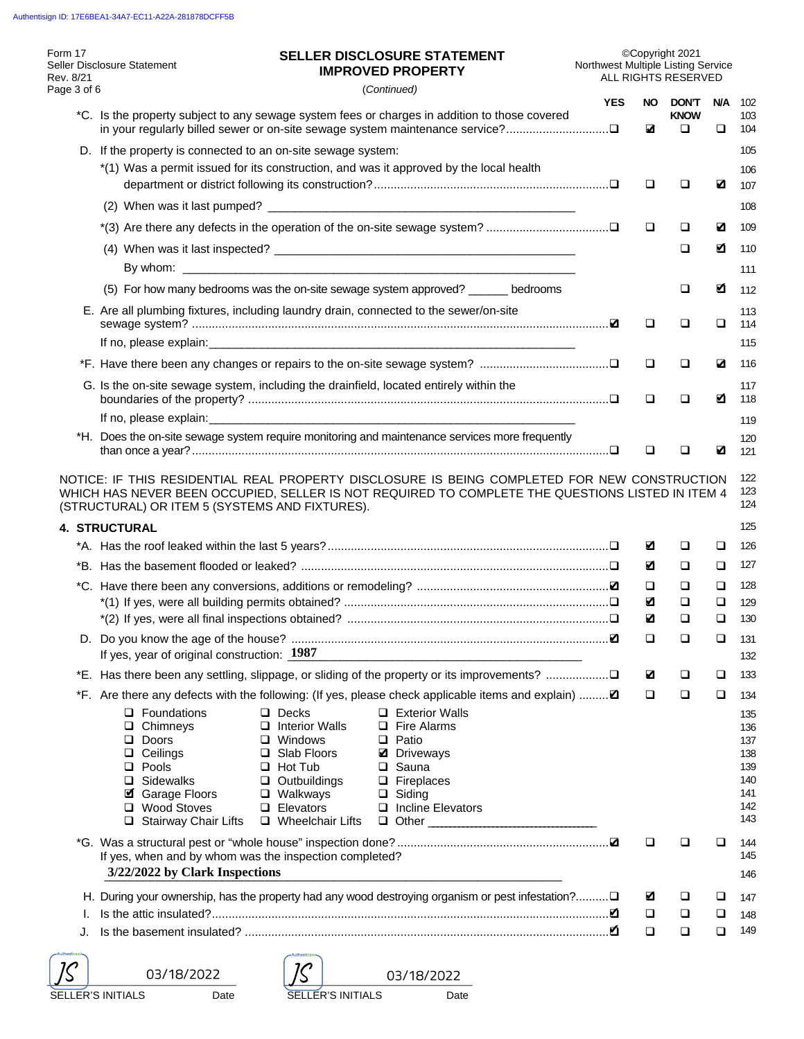| Form 17<br>Rev. 8/21<br>Page 3 of 6 | Seller Disclosure Statement                                                              |                                     | <b>SELLER DISCLOSURE STATEMENT</b><br><b>IMPROVED PROPERTY</b><br>(Continued)                                                                                                                                           | Northwest Multiple Listing Service |                         | ©Copyright 2021<br>ALL RIGHTS RESERVED |            |                   |
|-------------------------------------|------------------------------------------------------------------------------------------|-------------------------------------|-------------------------------------------------------------------------------------------------------------------------------------------------------------------------------------------------------------------------|------------------------------------|-------------------------|----------------------------------------|------------|-------------------|
|                                     |                                                                                          |                                     |                                                                                                                                                                                                                         | <b>YES</b>                         | NO.                     | <b>DON'T</b>                           | <b>N/A</b> | 102               |
|                                     |                                                                                          |                                     | *C. Is the property subject to any sewage system fees or charges in addition to those covered<br>in your regularly billed sewer or on-site sewage system maintenance service?                                           |                                    | $\overline{\mathbf{u}}$ | <b>KNOW</b><br>$\Box$                  | $\Box$     | 103<br>104        |
|                                     | D. If the property is connected to an on-site sewage system:                             |                                     |                                                                                                                                                                                                                         |                                    |                         |                                        |            | 105               |
|                                     |                                                                                          |                                     | *(1) Was a permit issued for its construction, and was it approved by the local health                                                                                                                                  |                                    |                         |                                        |            | 106               |
|                                     |                                                                                          |                                     |                                                                                                                                                                                                                         |                                    | $\Box$                  | $\Box$                                 | Ø          | 107               |
|                                     |                                                                                          |                                     |                                                                                                                                                                                                                         |                                    |                         |                                        |            | 108               |
|                                     |                                                                                          |                                     |                                                                                                                                                                                                                         |                                    | □                       | $\Box$                                 | ₫          | 109               |
|                                     |                                                                                          |                                     |                                                                                                                                                                                                                         |                                    |                         | □                                      | ☑          | 110               |
|                                     |                                                                                          |                                     |                                                                                                                                                                                                                         |                                    |                         | $\Box$                                 | ₫          | 111               |
|                                     | E. Are all plumbing fixtures, including laundry drain, connected to the sewer/on-site    |                                     | (5) For how many bedrooms was the on-site sewage system approved? ______ bedrooms                                                                                                                                       |                                    |                         |                                        |            | 112               |
|                                     |                                                                                          |                                     |                                                                                                                                                                                                                         |                                    | □                       | $\Box$                                 | □          | 113<br>114        |
|                                     |                                                                                          |                                     |                                                                                                                                                                                                                         |                                    |                         |                                        |            | 115               |
|                                     |                                                                                          |                                     |                                                                                                                                                                                                                         |                                    | ❏                       | $\Box$                                 | Ø          | 116               |
|                                     | G. Is the on-site sewage system, including the drainfield, located entirely within the   |                                     |                                                                                                                                                                                                                         |                                    |                         |                                        |            | 117               |
|                                     |                                                                                          |                                     |                                                                                                                                                                                                                         |                                    | $\Box$                  | $\Box$                                 | Ø          | 118               |
|                                     |                                                                                          |                                     | *H. Does the on-site sewage system require monitoring and maintenance services more frequently                                                                                                                          |                                    |                         |                                        |            | 119<br>120        |
|                                     |                                                                                          |                                     |                                                                                                                                                                                                                         |                                    | ❏                       | □                                      | Ø          | 121               |
|                                     | (STRUCTURAL) OR ITEM 5 (SYSTEMS AND FIXTURES).                                           |                                     | NOTICE: IF THIS RESIDENTIAL REAL PROPERTY DISCLOSURE IS BEING COMPLETED FOR NEW CONSTRUCTION<br>WHICH HAS NEVER BEEN OCCUPIED, SELLER IS NOT REQUIRED TO COMPLETE THE QUESTIONS LISTED IN ITEM 4                        |                                    |                         |                                        |            | 122<br>123<br>124 |
|                                     | 4. STRUCTURAL                                                                            |                                     |                                                                                                                                                                                                                         |                                    |                         |                                        |            | 125               |
|                                     |                                                                                          |                                     |                                                                                                                                                                                                                         |                                    | Ø                       | ❏                                      | □          | 126               |
|                                     |                                                                                          |                                     |                                                                                                                                                                                                                         |                                    | Ø                       | ❏                                      | ❏          | 127               |
|                                     |                                                                                          |                                     |                                                                                                                                                                                                                         |                                    | ❏                       | $\Box$                                 | $\Box$     | 128               |
|                                     |                                                                                          |                                     |                                                                                                                                                                                                                         |                                    | ₫<br>Ø                  | $\Box$<br>□                            | ❏<br>□     | 129<br>130        |
|                                     |                                                                                          |                                     |                                                                                                                                                                                                                         |                                    | ❏                       | $\Box$                                 | $\Box$     | 131               |
|                                     | If yes, year of original construction: 1987                                              |                                     | <u> 1989 - Johann Stein, marwolaethau a bhann an t-Amhainn an t-Amhainn an t-Amhainn an t-Amhainn an t-Amhainn an</u>                                                                                                   |                                    |                         |                                        |            | 132               |
|                                     |                                                                                          |                                     | *E. Has there been any settling, slippage, or sliding of the property or its improvements?                                                                                                                              |                                    | Ø                       | □                                      | □          | 133               |
|                                     |                                                                                          |                                     | *F. Are there any defects with the following: (If yes, please check applicable items and explain)                                                                                                                       |                                    | □                       | $\Box$                                 | $\Box$     | 134               |
|                                     | $\Box$ Foundations<br>$\Box$ Chimneys                                                    | $\Box$ Decks<br>Interior Walls      | <b>Exterior Walls</b><br>$\Box$ Fire Alarms                                                                                                                                                                             |                                    |                         |                                        |            | 135<br>136        |
|                                     | $\Box$ Doors                                                                             | $\Box$ Windows                      | $\Box$ Patio                                                                                                                                                                                                            |                                    |                         |                                        |            | 137               |
|                                     | $\Box$ Ceilings<br>$\Box$ Pools                                                          | □ Slab Floors<br>$\Box$ Hot Tub     | <b>Z</b> Driveways<br>$\Box$ Sauna                                                                                                                                                                                      |                                    |                         |                                        |            | 138<br>139        |
|                                     | $\Box$ Sidewalks                                                                         | $\Box$ Outbuildings                 | $\Box$ Fireplaces                                                                                                                                                                                                       |                                    |                         |                                        |            | 140               |
|                                     | Garage Floors<br>□ Wood Stoves                                                           | $\Box$ Walkways<br>$\Box$ Elevators | $\Box$ Siding<br>$\Box$ Incline Elevators                                                                                                                                                                               |                                    |                         |                                        |            | 141<br>142        |
|                                     | Stairway Chair Lifts                                                                     | □ Wheelchair Lifts                  |                                                                                                                                                                                                                         |                                    |                         |                                        |            | 143               |
|                                     |                                                                                          |                                     |                                                                                                                                                                                                                         |                                    | ❏                       | $\Box$                                 | $\Box$     | 144               |
|                                     | If yes, when and by whom was the inspection completed?<br>3/22/2022 by Clark Inspections |                                     |                                                                                                                                                                                                                         |                                    |                         |                                        |            | 145<br>146        |
|                                     |                                                                                          |                                     | <u> 1989 - Johann Stein, markin fan it ferstjer fan de ferstjer fan it ferstjer fan de ferstjer fan it ferstjer</u><br>H. During your ownership, has the property had any wood destroying organism or pest infestation? |                                    | Ø                       | □                                      | □          | 147               |
|                                     |                                                                                          |                                     |                                                                                                                                                                                                                         |                                    | □                       | $\Box$                                 | □          | 148               |
| J.                                  |                                                                                          |                                     |                                                                                                                                                                                                                         |                                    | $\Box$                  | $\Box$                                 | $\Box$     | 149               |
| $\mathcal{D}$                       |                                                                                          | <b>Authentise</b><br>1 <sup>o</sup> |                                                                                                                                                                                                                         |                                    |                         |                                        |            |                   |

SELLER'S INITIALS **Date** SELLER'S INITIALS Date

 $\sqrt{3}$   $\sqrt{3}$   $\sqrt{3}$   $\sqrt{3}$   $\sqrt{3}$   $\sqrt{3}$   $\sqrt{3}$   $\sqrt{3}$   $\sqrt{3}$   $\sqrt{3}$   $\sqrt{3}$   $\sqrt{3}$   $\sqrt{3}$   $\sqrt{3}$   $\sqrt{3}$   $\sqrt{3}$   $\sqrt{3}$   $\sqrt{3}$   $\sqrt{3}$   $\sqrt{3}$   $\sqrt{3}$   $\sqrt{3}$   $\sqrt{3}$   $\sqrt{3}$   $\sqrt{3}$   $\sqrt{3}$   $\sqrt{3}$   $\sqrt{3$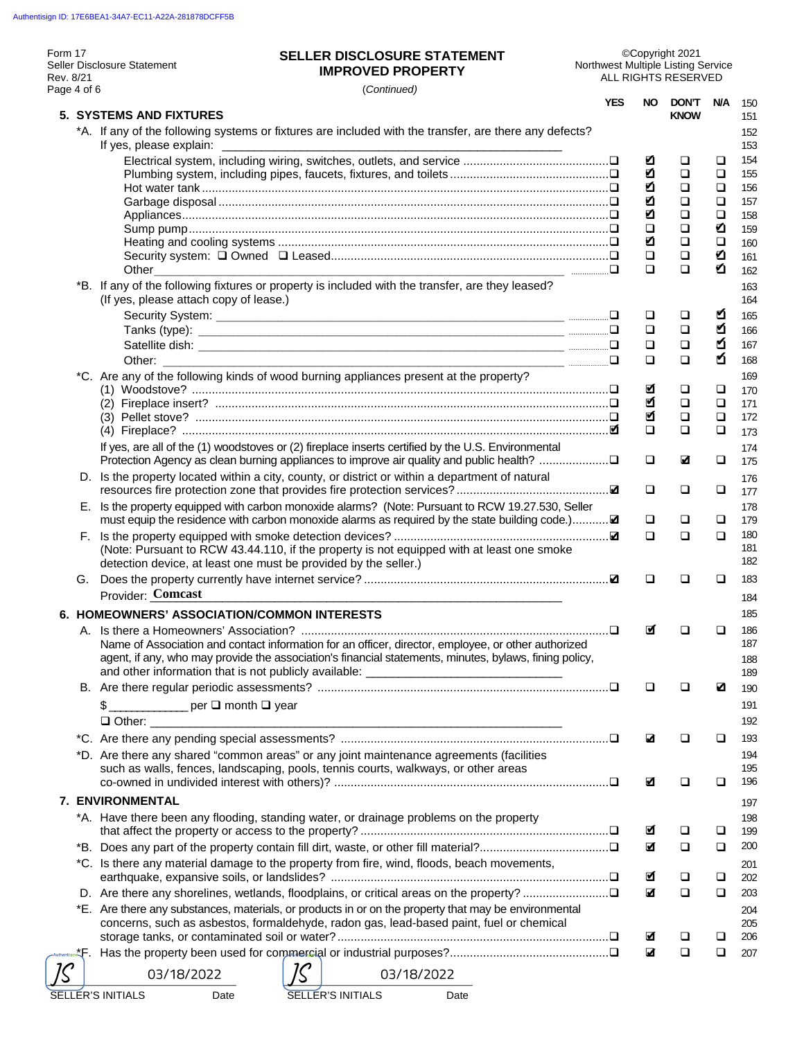| Form 17<br>Rev. 8/21<br>Page 4 of 6 |           | Seller Disclosure Statement                                     | <b>SELLER DISCLOSURE STATEMENT</b><br><b>IMPROVED PROPERTY</b><br>(Continued)                          | Northwest Multiple Listing Service |             | ©Copyright 2021<br>ALL RIGHTS RESERVED |             |            |
|-------------------------------------|-----------|-----------------------------------------------------------------|--------------------------------------------------------------------------------------------------------|------------------------------------|-------------|----------------------------------------|-------------|------------|
|                                     |           |                                                                 |                                                                                                        | <b>YES</b>                         | NO.         | <b>DON'T</b>                           | <b>N/A</b>  | 150        |
|                                     |           | <b>5. SYSTEMS AND FIXTURES</b>                                  |                                                                                                        |                                    |             | <b>KNOW</b>                            |             | 151        |
|                                     |           | If yes, please explain:                                         | *A. If any of the following systems or fixtures are included with the transfer, are there any defects? |                                    |             |                                        |             | 152<br>153 |
|                                     |           |                                                                 |                                                                                                        |                                    | ₫           | ❏                                      | $\Box$      | 154        |
|                                     |           |                                                                 |                                                                                                        |                                    | ₫           | $\Box$                                 | $\Box$      | 155        |
|                                     |           |                                                                 |                                                                                                        |                                    | ₫           | $\Box$                                 | $\Box$      | 156        |
|                                     |           |                                                                 |                                                                                                        |                                    | ₫           | $\Box$                                 | $\Box$      | 157        |
|                                     |           |                                                                 |                                                                                                        |                                    | ₫<br>$\Box$ | $\Box$<br>$\Box$                       | $\Box$<br>Ø | 158<br>159 |
|                                     |           |                                                                 |                                                                                                        |                                    | ₫           | $\Box$                                 | $\Box$      | 160        |
|                                     |           |                                                                 |                                                                                                        |                                    | $\Box$      | $\Box$                                 | Ø           | 161        |
|                                     |           | Other                                                           |                                                                                                        |                                    | $\Box$      | $\Box$                                 | ₫           | 162        |
|                                     |           | (If yes, please attach copy of lease.)                          | *B. If any of the following fixtures or property is included with the transfer, are they leased?       |                                    |             |                                        |             | 163<br>164 |
|                                     |           |                                                                 |                                                                                                        |                                    | $\Box$      | $\Box$                                 | ิศ          | 165        |
|                                     |           |                                                                 |                                                                                                        |                                    | $\Box$      | $\Box$                                 | ิส          | 166        |
|                                     |           |                                                                 |                                                                                                        |                                    | ❏           | $\Box$<br>$\Box$                       | ศ<br>ิศ     | 167<br>168 |
|                                     |           |                                                                 | *C. Are any of the following kinds of wood burning appliances present at the property?                 |                                    | ❏           |                                        |             | 169        |
|                                     |           |                                                                 |                                                                                                        |                                    | Ŋ           | ❏                                      | $\Box$      | 170        |
|                                     |           |                                                                 |                                                                                                        |                                    | ⊈           | $\Box$                                 | $\Box$      | 171        |
|                                     |           |                                                                 |                                                                                                        |                                    | Ø           | $\Box$                                 | $\Box$      | 172        |
|                                     |           |                                                                 |                                                                                                        |                                    | $\Box$      | $\Box$                                 | $\Box$      | 173        |
|                                     |           |                                                                 | If yes, are all of the (1) woodstoves or (2) fireplace inserts certified by the U.S. Environmental     |                                    |             |                                        |             | 174        |
|                                     |           |                                                                 |                                                                                                        |                                    | $\Box$      | Ø                                      | $\Box$      | 175        |
|                                     |           |                                                                 | D. Is the property located within a city, county, or district or within a department of natural        |                                    | $\Box$      | $\Box$                                 | ❏           | 176        |
|                                     |           |                                                                 | E. Is the property equipped with carbon monoxide alarms? (Note: Pursuant to RCW 19.27.530, Seller      |                                    |             |                                        |             | 177<br>178 |
|                                     |           |                                                                 | must equip the residence with carbon monoxide alarms as required by the state building code.)          |                                    | $\Box$      | ❏                                      | $\Box$      | 179        |
|                                     |           |                                                                 |                                                                                                        |                                    | $\Box$      | $\Box$                                 | $\Box$      | 180        |
|                                     |           | detection device, at least one must be provided by the seller.) | (Note: Pursuant to RCW 43.44.110, if the property is not equipped with at least one smoke              |                                    |             |                                        |             | 181<br>182 |
|                                     | G.        | Provider: Comcast                                               |                                                                                                        |                                    | $\Box$      | □                                      | $\Box$      | 183<br>184 |
|                                     |           | 6. HOMEOWNERS' ASSOCIATION/COMMON INTERESTS                     |                                                                                                        |                                    |             |                                        |             | 185        |
|                                     |           |                                                                 |                                                                                                        |                                    | И           | ◻                                      | $\Box$      | 186        |
|                                     |           |                                                                 | Name of Association and contact information for an officer, director, employee, or other authorized    |                                    |             |                                        |             | 187        |
|                                     |           |                                                                 | agent, if any, who may provide the association's financial statements, minutes, bylaws, fining policy, |                                    |             |                                        |             | 188        |
|                                     |           |                                                                 | and other information that is not publicly available: ___________________________                      |                                    |             |                                        |             | 189        |
|                                     |           |                                                                 |                                                                                                        |                                    | ❏           | ⊔                                      | Ø           | 190        |
|                                     |           | $\frac{1}{2}$ month $\Box$ year                                 |                                                                                                        |                                    |             |                                        |             | 191        |
|                                     |           |                                                                 |                                                                                                        |                                    |             |                                        |             | 192        |
|                                     |           |                                                                 |                                                                                                        |                                    | Ø           | ⊔                                      | □           | 193        |
|                                     |           |                                                                 | *D. Are there any shared "common areas" or any joint maintenance agreements (facilities                |                                    |             |                                        |             | 194        |
|                                     |           |                                                                 | such as walls, fences, landscaping, pools, tennis courts, walkways, or other areas                     |                                    | Ø           | ❏                                      | $\Box$      | 195<br>196 |
|                                     |           | 7. ENVIRONMENTAL                                                |                                                                                                        |                                    |             |                                        |             |            |
|                                     |           |                                                                 | *A. Have there been any flooding, standing water, or drainage problems on the property                 |                                    |             |                                        |             | 197<br>198 |
|                                     |           |                                                                 |                                                                                                        |                                    | Ø           | u                                      | $\Box$      | 199        |
|                                     |           |                                                                 |                                                                                                        |                                    | Ø           | □                                      | $\Box$      | 200        |
|                                     |           |                                                                 | *C. Is there any material damage to the property from fire, wind, floods, beach movements,             |                                    |             |                                        |             | 201        |
|                                     |           |                                                                 |                                                                                                        |                                    | Ø           | ⊔                                      | $\Box$      | 202        |
|                                     |           |                                                                 |                                                                                                        |                                    | Ø           | $\Box$                                 | $\Box$      | 203        |
|                                     |           |                                                                 | *E. Are there any substances, materials, or products in or on the property that may be environmental   |                                    |             |                                        |             | 204        |
|                                     |           |                                                                 | concerns, such as asbestos, formaldehyde, radon gas, lead-based paint, fuel or chemical                |                                    |             |                                        |             | 205        |
|                                     |           |                                                                 |                                                                                                        |                                    | Ø           | ❏                                      | □           | 206        |
|                                     | <b>、下</b> |                                                                 |                                                                                                        |                                    | Ø           | ❏                                      | $\Box$      | 207        |
|                                     |           | IS<br>03/18/2022                                                | 03/18/2022                                                                                             |                                    |             |                                        |             |            |

SELLER'S INITIALS **Date** SELLER'S INITIALS Date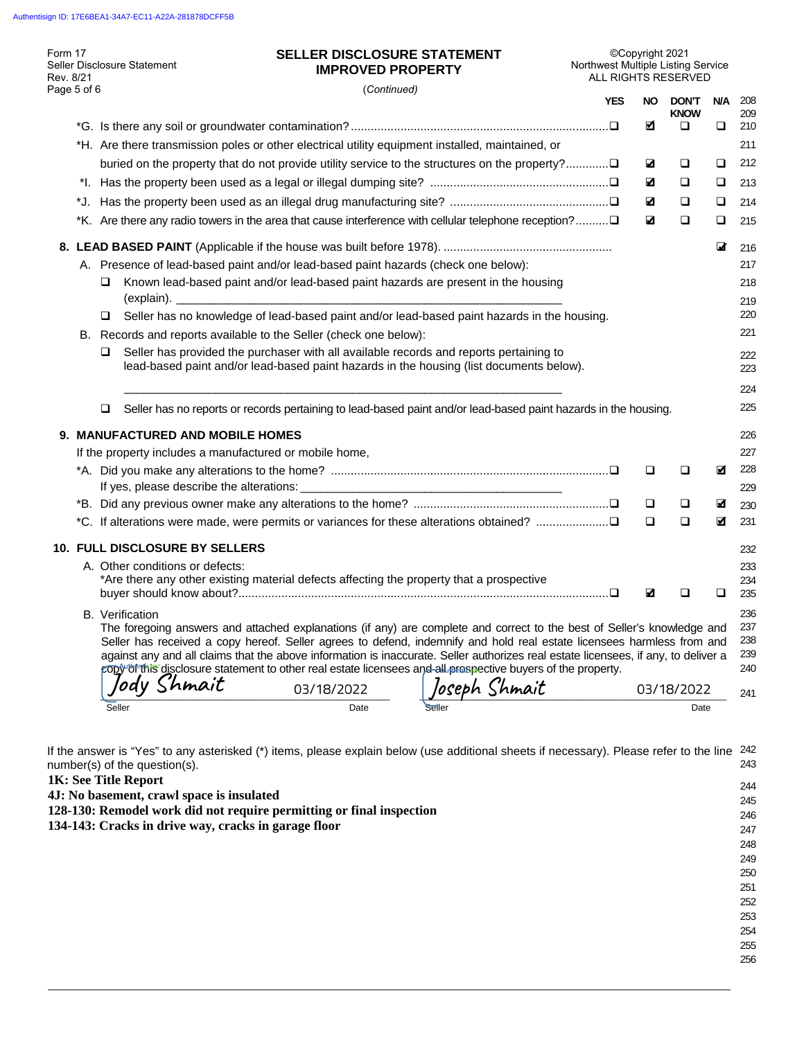Form 17 Seller Disclosure Statement Rev. 8/21 Page 5 of 6 (*Continued)*

# **SELLER DISCLOSURE STATEMENT IMPROVED PROPERTY**

©Copyright 20 Northwest Multiple Listing Service ALL RIGHTS RESERVED

|  |                        |                                          |                                                                                                                                                                                                                                                                                                                                                                                                                                                                                                                       |        |                | <b>YES</b> | <b>NO</b>               | <b>DON'T</b><br><b>KNOW</b> | <b>N/A</b> | 208<br>209                      |
|--|------------------------|------------------------------------------|-----------------------------------------------------------------------------------------------------------------------------------------------------------------------------------------------------------------------------------------------------------------------------------------------------------------------------------------------------------------------------------------------------------------------------------------------------------------------------------------------------------------------|--------|----------------|------------|-------------------------|-----------------------------|------------|---------------------------------|
|  |                        |                                          |                                                                                                                                                                                                                                                                                                                                                                                                                                                                                                                       |        |                |            | Ø                       | $\Box$                      | ❏          | 210                             |
|  |                        |                                          | *H. Are there transmission poles or other electrical utility equipment installed, maintained, or                                                                                                                                                                                                                                                                                                                                                                                                                      |        |                |            |                         |                             |            | 211                             |
|  |                        |                                          | buried on the property that do not provide utility service to the structures on the property?□                                                                                                                                                                                                                                                                                                                                                                                                                        |        |                |            | 7                       | $\Box$                      | $\Box$     | 212                             |
|  |                        |                                          |                                                                                                                                                                                                                                                                                                                                                                                                                                                                                                                       |        |                |            | Ø                       | $\Box$                      | $\Box$     | 213                             |
|  |                        |                                          |                                                                                                                                                                                                                                                                                                                                                                                                                                                                                                                       |        |                |            | Ø                       | $\Box$                      | $\Box$     | 214                             |
|  |                        |                                          | *K. Are there any radio towers in the area that cause interference with cellular telephone reception?                                                                                                                                                                                                                                                                                                                                                                                                                 |        |                |            | $\overline{\mathbf{u}}$ | $\Box$                      | $\Box$     | 215                             |
|  |                        |                                          |                                                                                                                                                                                                                                                                                                                                                                                                                                                                                                                       |        |                |            |                         |                             | ď          | 216                             |
|  |                        |                                          | A. Presence of lead-based paint and/or lead-based paint hazards (check one below):                                                                                                                                                                                                                                                                                                                                                                                                                                    |        |                |            |                         |                             |            | 217                             |
|  | o                      |                                          | Known lead-based paint and/or lead-based paint hazards are present in the housing                                                                                                                                                                                                                                                                                                                                                                                                                                     |        |                |            |                         |                             |            | 218<br>219                      |
|  |                        |                                          | □ Seller has no knowledge of lead-based paint and/or lead-based paint hazards in the housing.                                                                                                                                                                                                                                                                                                                                                                                                                         |        |                |            |                         |                             |            | 220                             |
|  |                        |                                          | B. Records and reports available to the Seller (check one below):                                                                                                                                                                                                                                                                                                                                                                                                                                                     |        |                |            |                         |                             |            | 221                             |
|  | Q.                     |                                          | Seller has provided the purchaser with all available records and reports pertaining to<br>lead-based paint and/or lead-based paint hazards in the housing (list documents below).                                                                                                                                                                                                                                                                                                                                     |        |                |            |                         |                             |            | 222<br>223                      |
|  |                        |                                          |                                                                                                                                                                                                                                                                                                                                                                                                                                                                                                                       |        |                |            |                         |                             |            | 224                             |
|  | □                      |                                          | Seller has no reports or records pertaining to lead-based paint and/or lead-based paint hazards in the housing.                                                                                                                                                                                                                                                                                                                                                                                                       |        |                |            |                         |                             |            | 225                             |
|  |                        | <b>9. MANUFACTURED AND MOBILE HOMES</b>  |                                                                                                                                                                                                                                                                                                                                                                                                                                                                                                                       |        |                |            |                         |                             |            | 226                             |
|  |                        |                                          | If the property includes a manufactured or mobile home,                                                                                                                                                                                                                                                                                                                                                                                                                                                               |        |                |            |                         |                             |            | 227                             |
|  |                        |                                          |                                                                                                                                                                                                                                                                                                                                                                                                                                                                                                                       |        |                |            | $\Box$                  | $\Box$                      | Ø          | 228                             |
|  |                        | If yes, please describe the alterations: |                                                                                                                                                                                                                                                                                                                                                                                                                                                                                                                       |        |                |            |                         |                             |            | 229                             |
|  |                        |                                          |                                                                                                                                                                                                                                                                                                                                                                                                                                                                                                                       |        |                |            | □                       | □                           | Ø          | 230                             |
|  |                        |                                          |                                                                                                                                                                                                                                                                                                                                                                                                                                                                                                                       |        |                |            | $\Box$                  | $\Box$                      | Ø          | 231                             |
|  |                        | <b>10. FULL DISCLOSURE BY SELLERS</b>    |                                                                                                                                                                                                                                                                                                                                                                                                                                                                                                                       |        |                |            |                         |                             |            | 232                             |
|  |                        | A. Other conditions or defects:          |                                                                                                                                                                                                                                                                                                                                                                                                                                                                                                                       |        |                |            |                         |                             |            | 233                             |
|  |                        |                                          | *Are there any other existing material defects affecting the property that a prospective                                                                                                                                                                                                                                                                                                                                                                                                                              |        |                |            | Ø                       | $\Box$                      | ❏          | 234<br>235                      |
|  | <b>B.</b> Verification | Jody Shmait                              | The foregoing answers and attached explanations (if any) are complete and correct to the best of Seller's knowledge and<br>Seller has received a copy hereof. Seller agrees to defend, indemnify and hold real estate licensees harmless from and<br>against any and all claims that the above information is inaccurate. Seller authorizes real estate licensees, if any, to deliver a<br>copy of this disclosure statement to other real estate licensees and all prospective buyers of the property.<br>03/18/2022 |        | loseph S'hmait |            |                         | 03/18/2022                  |            | 236<br>237<br>238<br>239<br>240 |
|  | Seller                 |                                          | Date                                                                                                                                                                                                                                                                                                                                                                                                                                                                                                                  | Seller |                |            |                         |                             |            | 241                             |
|  |                        |                                          |                                                                                                                                                                                                                                                                                                                                                                                                                                                                                                                       |        |                |            |                         | Date                        |            |                                 |

If the answer is "Yes" to any asterisked (\*) items, please explain below (use additional sheets if necessary). Please refer to the line 242 number(s) of the question(s). 243

 **1K: See Title Report**

Ī

| 4J: No basement, crawl space is insulated |  |
|-------------------------------------------|--|
|-------------------------------------------|--|

**128-130: Remodel work did not require permitting or final inspection**

**134-143: Cracks in drive way, cracks in garage floor**